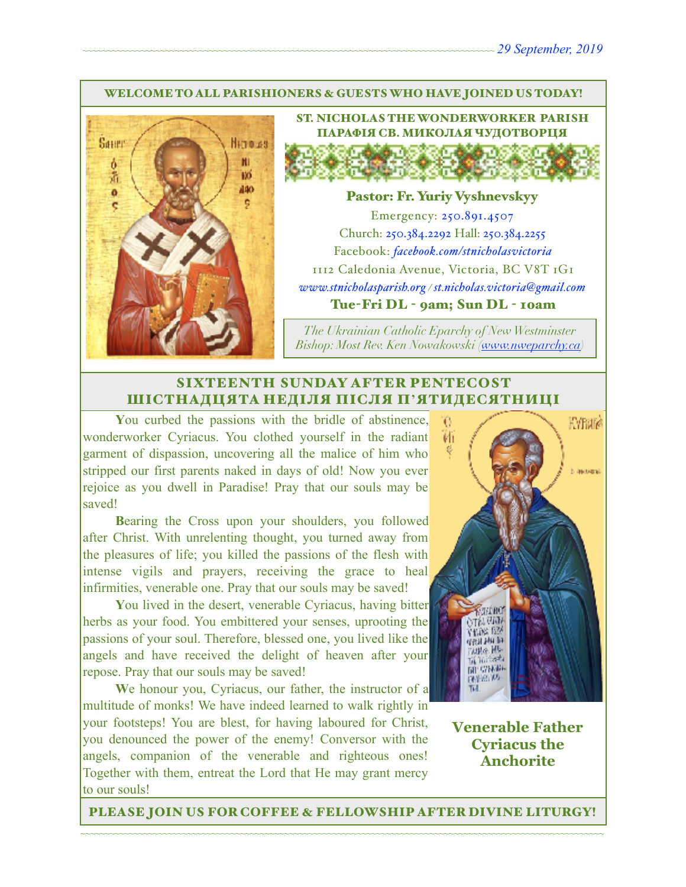#### WELCOME TO ALL PARISHIONERS & GUESTS WHO HAVE JOINED US TODAY!



ST. NICHOLAS THE WONDERWORKER PARISH ПАРАФІЯ СВ. МИКОЛАЯ ЧУДОТВОРЦЯ

#### Pastor: Fr. Yuriy Vyshnevskyy

Emergency: 250.891.4507 Church: 250.384.2292 Hall: 250.384.2255 Facebook: *[facebook.com/stnicholasvictoria](http://facebook.com/stnicholasvictoria)* 1112 Caledonia Avenue, Victoria, BC V8T 1G1 *[www.stnicholasparish.org](http://www.stnicholasparish.org) / [st.nicholas.victoria@gmail.com](mailto:st.nicholas.victoria@gmail.com)* Tue-Fri DL - 9am; Sun DL - 10am

*The Ukrainian Catholic Eparchy of New Westminster Bishop: Most Rev. Ken Nowakowski ([www.nweparchy.ca](http://www.nweparchy.ca))*

#### SIXTEENTH SUNDAY AFTER PENTECOST ШІСТНАДЦЯТА НЕДІЛЯ ПІСЛЯ П**'**ЯТИДЕСЯТНИЦІ

**Y**ou curbed the passions with the bridle of abstinence, wonderworker Cyriacus. You clothed yourself in the radiant garment of dispassion, uncovering all the malice of him who stripped our first parents naked in days of old! Now you ever rejoice as you dwell in Paradise! Pray that our souls may be saved!

**B**earing the Cross upon your shoulders, you followed after Christ. With unrelenting thought, you turned away from the pleasures of life; you killed the passions of the flesh with intense vigils and prayers, receiving the grace to heal infirmities, venerable one. Pray that our souls may be saved!

**Y**ou lived in the desert, venerable Cyriacus, having bitter herbs as your food. You embittered your senses, uprooting the passions of your soul. Therefore, blessed one, you lived like the angels and have received the delight of heaven after your repose. Pray that our souls may be saved!

**W**e honour you, Cyriacus, our father, the instructor of a multitude of monks! We have indeed learned to walk rightly in your footsteps! You are blest, for having laboured for Christ, you denounced the power of the enemy! Conversor with the angels, companion of the venerable and righteous ones! Together with them, entreat the Lord that He may grant mercy to our souls!



**Venerable Father Cyriacus the Anchorite**

~~~~~~~~~~~~~~~~~~~~~~~~~~~~~~~~~~~~~~~~~~~~~~~~~~~~~~~~~~~~~~~~~~~~~~~~~~~~~~~~~~~~~~~~~~~~~~~~~~~~~~~~~~~~ PLEASE JOIN US FOR COFFEE & FELLOWSHIP AFTER DIVINE LITURGY!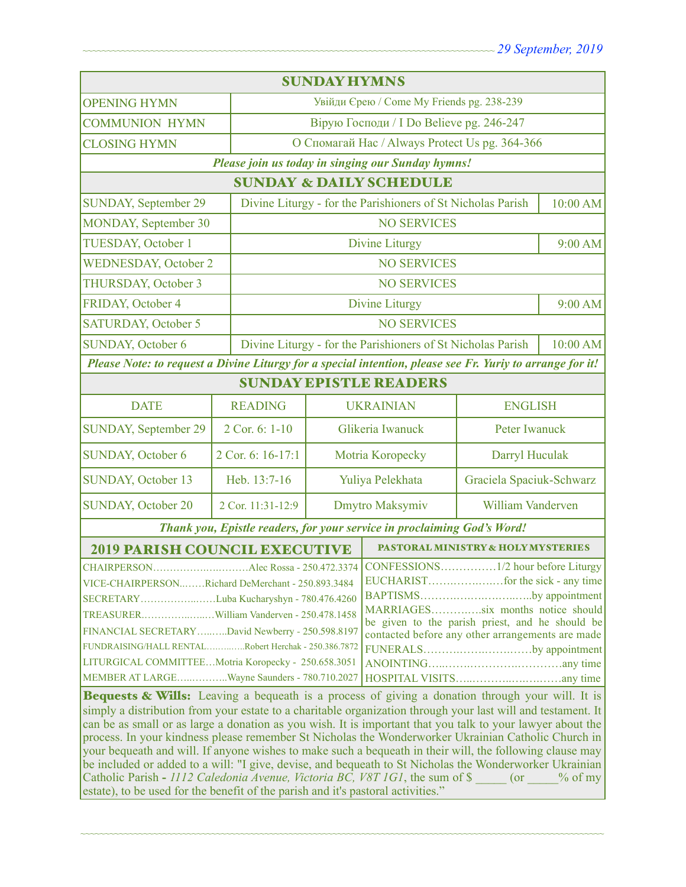| <b>SUNDAY HYMNS</b>                                                                                                                                                                                                                                                                                                                                                                                                                                                                                                                                                                                                                                                                                                                                  |                   |                                                                         |                                                             |                                                |           |  |
|------------------------------------------------------------------------------------------------------------------------------------------------------------------------------------------------------------------------------------------------------------------------------------------------------------------------------------------------------------------------------------------------------------------------------------------------------------------------------------------------------------------------------------------------------------------------------------------------------------------------------------------------------------------------------------------------------------------------------------------------------|-------------------|-------------------------------------------------------------------------|-------------------------------------------------------------|------------------------------------------------|-----------|--|
| <b>OPENING HYMN</b>                                                                                                                                                                                                                                                                                                                                                                                                                                                                                                                                                                                                                                                                                                                                  |                   |                                                                         | Увійди Єрею / Come My Friends pg. 238-239                   |                                                |           |  |
| <b>COMMUNION HYMN</b>                                                                                                                                                                                                                                                                                                                                                                                                                                                                                                                                                                                                                                                                                                                                |                   |                                                                         | Вірую Господи / I Do Believe pg. 246-247                    |                                                |           |  |
| <b>CLOSING HYMN</b>                                                                                                                                                                                                                                                                                                                                                                                                                                                                                                                                                                                                                                                                                                                                  |                   |                                                                         |                                                             | О Спомагай Нас / Always Protect Us pg. 364-366 |           |  |
| Please join us today in singing our Sunday hymns!                                                                                                                                                                                                                                                                                                                                                                                                                                                                                                                                                                                                                                                                                                    |                   |                                                                         |                                                             |                                                |           |  |
| <b>SUNDAY &amp; DAILY SCHEDULE</b>                                                                                                                                                                                                                                                                                                                                                                                                                                                                                                                                                                                                                                                                                                                   |                   |                                                                         |                                                             |                                                |           |  |
| SUNDAY, September 29                                                                                                                                                                                                                                                                                                                                                                                                                                                                                                                                                                                                                                                                                                                                 |                   |                                                                         | Divine Liturgy - for the Parishioners of St Nicholas Parish |                                                | 10:00 AM  |  |
| MONDAY, September 30                                                                                                                                                                                                                                                                                                                                                                                                                                                                                                                                                                                                                                                                                                                                 |                   |                                                                         | <b>NO SERVICES</b>                                          |                                                |           |  |
| TUESDAY, October 1                                                                                                                                                                                                                                                                                                                                                                                                                                                                                                                                                                                                                                                                                                                                   |                   | <b>Divine Liturgy</b>                                                   |                                                             |                                                | 9:00 AM   |  |
| <b>WEDNESDAY, October 2</b>                                                                                                                                                                                                                                                                                                                                                                                                                                                                                                                                                                                                                                                                                                                          |                   |                                                                         | <b>NO SERVICES</b>                                          |                                                |           |  |
| THURSDAY, October 3<br><b>NO SERVICES</b>                                                                                                                                                                                                                                                                                                                                                                                                                                                                                                                                                                                                                                                                                                            |                   |                                                                         |                                                             |                                                |           |  |
| FRIDAY, October 4                                                                                                                                                                                                                                                                                                                                                                                                                                                                                                                                                                                                                                                                                                                                    |                   |                                                                         | <b>Divine Liturgy</b>                                       |                                                | $9:00$ AM |  |
| <b>SATURDAY, October 5</b>                                                                                                                                                                                                                                                                                                                                                                                                                                                                                                                                                                                                                                                                                                                           |                   | <b>NO SERVICES</b>                                                      |                                                             |                                                |           |  |
| SUNDAY, October 6                                                                                                                                                                                                                                                                                                                                                                                                                                                                                                                                                                                                                                                                                                                                    |                   | Divine Liturgy - for the Parishioners of St Nicholas Parish<br>10:00 AM |                                                             |                                                |           |  |
| Please Note: to request a Divine Liturgy for a special intention, please see Fr. Yuriy to arrange for it!                                                                                                                                                                                                                                                                                                                                                                                                                                                                                                                                                                                                                                            |                   |                                                                         |                                                             |                                                |           |  |
| <b>SUNDAY EPISTLE READERS</b>                                                                                                                                                                                                                                                                                                                                                                                                                                                                                                                                                                                                                                                                                                                        |                   |                                                                         |                                                             |                                                |           |  |
| <b>DATE</b>                                                                                                                                                                                                                                                                                                                                                                                                                                                                                                                                                                                                                                                                                                                                          | <b>READING</b>    | <b>UKRAINIAN</b><br><b>ENGLISH</b>                                      |                                                             |                                                |           |  |
| SUNDAY, September 29                                                                                                                                                                                                                                                                                                                                                                                                                                                                                                                                                                                                                                                                                                                                 | 2 Cor. 6: 1-10    |                                                                         | Peter Iwanuck<br>Glikeria Iwanuck                           |                                                |           |  |
| <b>SUNDAY, October 6</b>                                                                                                                                                                                                                                                                                                                                                                                                                                                                                                                                                                                                                                                                                                                             | 2 Cor. 6: 16-17:1 | Motria Koropecky                                                        |                                                             | Darryl Huculak                                 |           |  |
| <b>SUNDAY, October 13</b>                                                                                                                                                                                                                                                                                                                                                                                                                                                                                                                                                                                                                                                                                                                            | Heb. 13:7-16      | Yuliya Pelekhata                                                        |                                                             | Graciela Spaciuk-Schwarz                       |           |  |
| <b>SUNDAY, October 20</b>                                                                                                                                                                                                                                                                                                                                                                                                                                                                                                                                                                                                                                                                                                                            | 2 Cor. 11:31-12:9 | Dmytro Maksymiv                                                         |                                                             | William Vanderven                              |           |  |
| Thank you, Epistle readers, for your service in proclaiming God's Word!                                                                                                                                                                                                                                                                                                                                                                                                                                                                                                                                                                                                                                                                              |                   |                                                                         |                                                             |                                                |           |  |
| <b>2019 PARISH COUNCIL EXECUTIVE</b>                                                                                                                                                                                                                                                                                                                                                                                                                                                                                                                                                                                                                                                                                                                 |                   |                                                                         | <b>PASTORAL MINISTRY &amp; HOLY MYSTERIES</b>               |                                                |           |  |
| VICE-CHAIRPERSONRichard DeMerchant - 250.893.3484<br>BAPTISMSby appointment<br>SECRETARYLuba Kucharyshyn - 780.476.4260<br>MARRIAGESsix months notice should<br>be given to the parish priest, and he should be<br>FINANCIAL SECRETARYDavid Newberry - 250.598.8197<br>contacted before any other arrangements are made<br>FUNDRAISING/HALL RENTALRobert Herchak - 250.386.7872<br>FUNERALSby appointment<br>LITURGICAL COMMITTEEMotria Koropecky - 250.658.3051<br>MEMBER AT LARGEWayne Saunders - 780.710.2027<br>Bequests & Wills: Leaving a bequeath is a process of giving a donation through your will. It is                                                                                                                                  |                   |                                                                         |                                                             |                                                |           |  |
| simply a distribution from your estate to a charitable organization through your last will and testament. It<br>can be as small or as large a donation as you wish. It is important that you talk to your lawyer about the<br>process. In your kindness please remember St Nicholas the Wonderworker Ukrainian Catholic Church in<br>your bequeath and will. If anyone wishes to make such a bequeath in their will, the following clause may<br>be included or added to a will: "I give, devise, and bequeath to St Nicholas the Wonderworker Ukrainian<br>Catholic Parish - 1112 Caledonia Avenue, Victoria BC, V8T 1G1, the sum of \$<br>$($ or<br>$\%$ of my<br>estate), to be used for the benefit of the parish and it's pastoral activities." |                   |                                                                         |                                                             |                                                |           |  |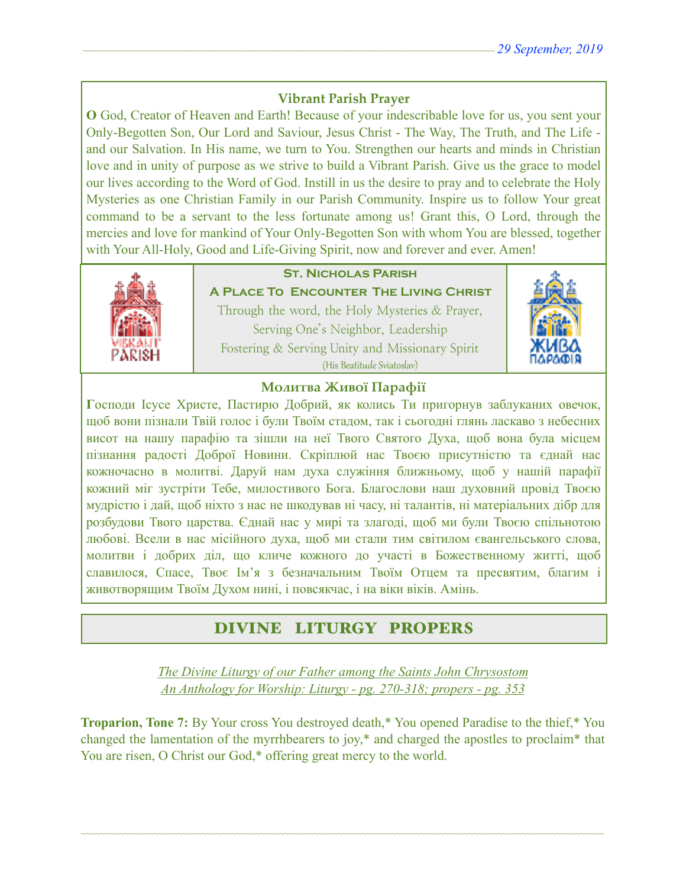#### **Vibrant Parish Prayer**

**O** God, Creator of Heaven and Earth! Because of your indescribable love for us, you sent your Only-Begotten Son, Our Lord and Saviour, Jesus Christ - The Way, The Truth, and The Life and our Salvation. In His name, we turn to You. Strengthen our hearts and minds in Christian love and in unity of purpose as we strive to build a Vibrant Parish. Give us the grace to model our lives according to the Word of God. Instill in us the desire to pray and to celebrate the Holy Mysteries as one Christian Family in our Parish Community. Inspire us to follow Your great command to be a servant to the less fortunate among us! Grant this, O Lord, through the mercies and love for mankind of Your Only-Begotten Son with whom You are blessed, together with Your All-Holy, Good and Life-Giving Spirit, now and forever and ever. Amen!



### **St. Nicholas Parish**

**A Place To Encounter The Living Christ** Through the word, the Holy Mysteries & Prayer, Serving One's Neighbor, Leadership Fostering & Serving Unity and Missionary Spirit (His Beatitude Sviatoslav)



#### **Молитва Живої Парафії**

**Г**осподи Ісусе Христе, Пастирю Добрий, як колись Ти пригорнув заблуканих овечок, щоб вони пізнали Твій голос і були Твоїм стадом, так і сьогодні глянь ласкаво з небесних висот на нашу парафію та зішли на неї Твого Святого Духа, щоб вона була місцем пізнання радості Доброї Новини. Скріплюй нас Твоєю присутністю та єднай нас кожночасно в молитві. Даруй нам духа служіння ближньому, щоб у нашій парафії кожний міг зустріти Тебе, милостивого Бога. Благослови наш духовний провід Твоєю мудрістю і дай, щоб ніхто з нас не шкодував ні часу, ні талантів, ні матеріальних дібр для розбудови Твого царства. Єднай нас у мирі та злагоді, щоб ми були Твоєю спільнотою любові. Всели в нас місійного духа, щоб ми стали тим світилом євангельського слова, молитви і добрих діл, що кличе кожного до участі в Божественному житті, щоб славилося, Спасе, Твоє Ім'я з безначальним Твоїм Отцем та пресвятим, благим і животворящим Твоїм Духом нині, і повсякчас, і на віки віків. Амінь.

# DIVINE LITURGY PROPERS

*The Divine Liturgy of our Father among the Saints John Chrysostom An Anthology for Worship: Liturgy - pg. 270-318; propers - pg. 353* 

**Troparion, Tone 7:** By Your cross You destroyed death,\* You opened Paradise to the thief,\* You changed the lamentation of the myrrhbearers to joy,\* and charged the apostles to proclaim\* that You are risen, O Christ our God,\* offering great mercy to the world.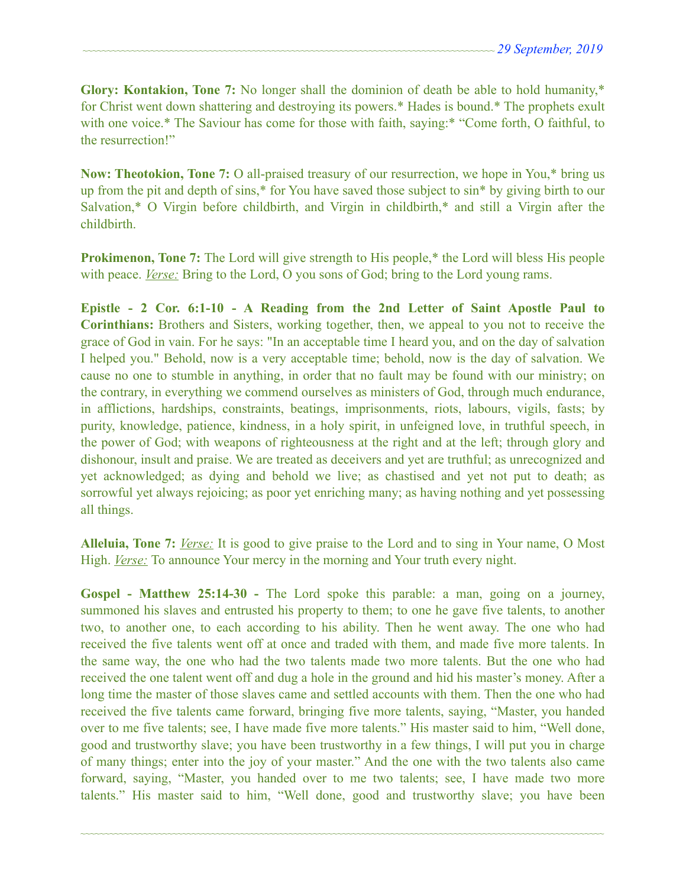**Glory: Kontakion, Tone 7:** No longer shall the dominion of death be able to hold humanity,\* for Christ went down shattering and destroying its powers.\* Hades is bound.\* The prophets exult with one voice.\* The Saviour has come for those with faith, saying:\* "Come forth, O faithful, to the resurrection!"

**Now: Theotokion, Tone 7:** O all-praised treasury of our resurrection, we hope in You,\* bring us up from the pit and depth of sins,\* for You have saved those subject to sin\* by giving birth to our Salvation,\* O Virgin before childbirth, and Virgin in childbirth,\* and still a Virgin after the childbirth.

**Prokimenon, Tone 7:** The Lord will give strength to His people,<sup>\*</sup> the Lord will bless His people with peace. *Verse:* Bring to the Lord, O you sons of God; bring to the Lord young rams.

**Epistle - 2 Cor. 6:1-10 - A Reading from the 2nd Letter of Saint Apostle Paul to Corinthians:** Brothers and Sisters, working together, then, we appeal to you not to receive the grace of God in vain. For he says: "In an acceptable time I heard you, and on the day of salvation I helped you." Behold, now is a very acceptable time; behold, now is the day of salvation. We cause no one to stumble in anything, in order that no fault may be found with our ministry; on the contrary, in everything we commend ourselves as ministers of God, through much endurance, in afflictions, hardships, constraints, beatings, imprisonments, riots, labours, vigils, fasts; by purity, knowledge, patience, kindness, in a holy spirit, in unfeigned love, in truthful speech, in the power of God; with weapons of righteousness at the right and at the left; through glory and dishonour, insult and praise. We are treated as deceivers and yet are truthful; as unrecognized and yet acknowledged; as dying and behold we live; as chastised and yet not put to death; as sorrowful yet always rejoicing; as poor yet enriching many; as having nothing and yet possessing all things.

**Alleluia, Tone 7:** *Verse:* It is good to give praise to the Lord and to sing in Your name, O Most High. *Verse:* To announce Your mercy in the morning and Your truth every night.

**Gospel - Matthew 25:14-30 -** The Lord spoke this parable: a man, going on a journey, summoned his slaves and entrusted his property to them; to one he gave five talents, to another two, to another one, to each according to his ability. Then he went away. The one who had received the five talents went off at once and traded with them, and made five more talents. In the same way, the one who had the two talents made two more talents. But the one who had received the one talent went off and dug a hole in the ground and hid his master's money. After a long time the master of those slaves came and settled accounts with them. Then the one who had received the five talents came forward, bringing five more talents, saying, "Master, you handed over to me five talents; see, I have made five more talents." His master said to him, "Well done, good and trustworthy slave; you have been trustworthy in a few things, I will put you in charge of many things; enter into the joy of your master." And the one with the two talents also came forward, saying, "Master, you handed over to me two talents; see, I have made two more talents." His master said to him, "Well done, good and trustworthy slave; you have been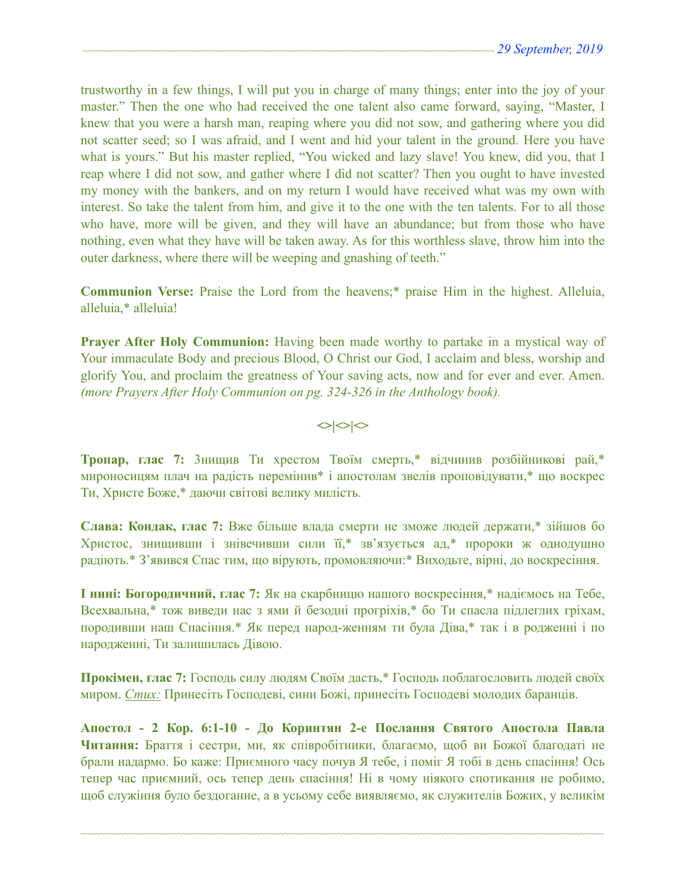trustworthy in a few things, I will put you in charge of many things; enter into the joy of your master." Then the one who had received the one talent also came forward, saying, "Master, I knew that you were a harsh man, reaping where you did not sow, and gathering where you did not scatter seed; so I was afraid, and I went and hid your talent in the ground. Here you have what is yours." But his master replied, "You wicked and lazy slave! You knew, did you, that I reap where I did not sow, and gather where I did not scatter? Then you ought to have invested my money with the bankers, and on my return I would have received what was my own with interest. So take the talent from him, and give it to the one with the ten talents. For to all those who have, more will be given, and they will have an abundance; but from those who have nothing, even what they have will be taken away. As for this worthless slave, throw him into the outer darkness, where there will be weeping and gnashing of teeth."

**Communion Verse:** Praise the Lord from the heavens;\* praise Him in the highest. Alleluia, alleluia,\* alleluia!

**Prayer After Holy Communion:** Having been made worthy to partake in a mystical way of Your immaculate Body and precious Blood, O Christ our God, I acclaim and bless, worship and glorify You, and proclaim the greatness of Your saving acts, now and for ever and ever. Amen. *(more Prayers After Holy Communion on pg. 324-326 in the Anthology book).* 

 $\left| \diamond \right| \diamond \left| \diamond \right|$ 

**Тропар, глас 7:** 3нищив Ти хрестом Твоїм смерть,\* відчинив розбійникові рай,\* мироносицям плач на радість перемінив\* і апостолам звелів проповідувати,\* що воскрес Ти, Христе Боже,\* даючи світові велику милість.

**Слава: Кондак, глас 7:** Вже більше влада смерти не зможе людей держати,\* зійшов бо Христос, знищивши і знівечивши сили її,\* зв'язується ад,\* пророки ж однодушно радіють.\* З'явився Спас тим, що вірують, промовляючи:\* Виходьте, вірні, до воскресіння.

**І нині: Богородичний, глас 7:** Як на скарбницю нашого воскресіння,\* надіємось на Тебе, Всехвальна,\* тож виведи нас з ями й безодні прогріхів,\* бо Ти спасла підлеглих гріхам, породивши наш Спасіння.\* Як перед народ-женням ти була Діва,\* так і в родженні і по народженні, Ти залишилась Дівою.

**Прокімен, глас 7:** Господь силу людям Своїм дасть,\* Господь поблагословить людей своїх миром. *Стих:* Принесіть Господеві, сини Божі, принесіть Господеві молодих баранців.

**Апостол - 2 Кор. 6:1-10 - До Коринтян 2-e Послання Святого Апостола Павла Читання:** Браття і сестри, ми, як співробітники, благаємо, щоб ви Божої благодаті не брали надармо. Бо каже: Приємного часу почув Я тебе, і поміг Я тобі в день спасіння! Ось тепер час приємний, ось тепер день спасіння! Ні в чому ніякого спотикання не робимо, щоб служіння було бездоганне, а в усьому себе виявляємо, як служителів Божих, у великім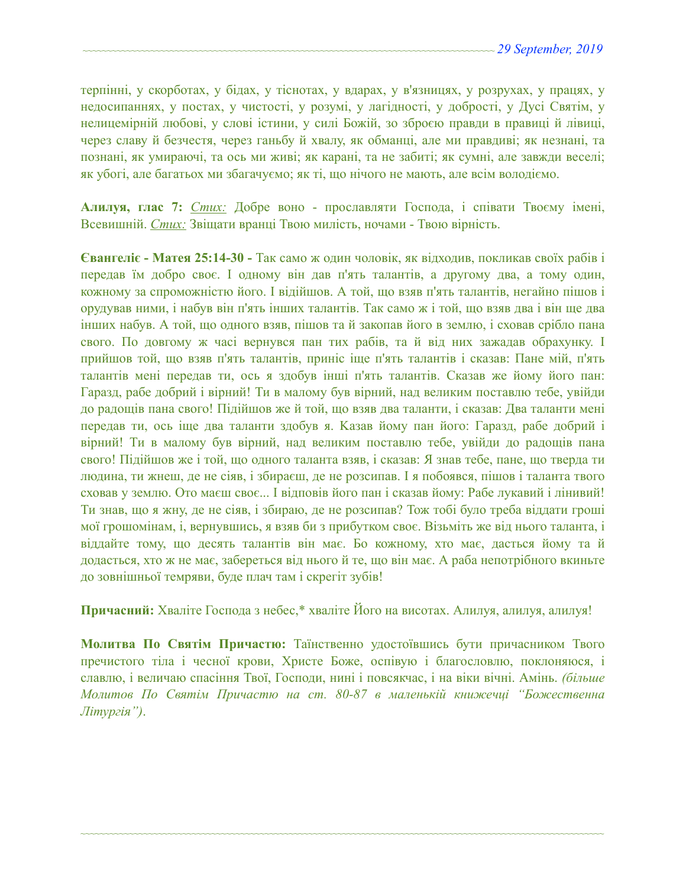терпінні, у скорботах, у бідах, у тіснотах, у вдарах, у в'язницях, у розрухах, у працях, у недосипаннях, у постах, у чистості, у розумі, у лагідності, у добрості, у Дусі Святім, у нелицемірній любові, у слові істини, у силі Божій, зо зброєю правди в правиці й лівиці, через славу й безчестя, через ганьбу й хвалу, як обманці, але ми правдиві; як незнані, та познані, як умираючі, та ось ми живі; як карані, та не забиті; як сумні, але завжди веселі; як убогі, але багатьох ми збагачуємо; як ті, що нічого не мають, але всім володіємо.

**Алилуя, глас 7:** *Стих:* Добре воно - прославляти Господа, і співати Твоєму імені, Всевишній. *Стих:* Звіщати вранці Твою милість, ночами - Твою вірність.

**Євангеліє - Матея 25:14-30 -** Так само ж один чоловік, як відходив, покликав своїх рабів і передав їм добро своє. І одному він дав п'ять талантів, а другому два, а тому один, кожному за спроможністю його. І відійшов. А той, що взяв п'ять талантів, негайно пішов і орудував ними, і набув він п'ять інших талантів. Так само ж і той, що взяв два і він ще два інших набув. А той, що одного взяв, пішов та й закопав його в землю, і сховав срібло пана свого. По довгому ж часі вернувся пан тих рабів, та й від них зажадав обрахунку. І прийшов той, що взяв п'ять талантів, приніс іще п'ять талантів і сказав: Пане мій, п'ять талантів мені передав ти, ось я здобув інші п'ять талантів. Сказав же йому його пан: Гаразд, рабе добрий і вірний! Ти в малому був вірний, над великим поставлю тебе, увійди до радощів пана свого! Підійшов же й той, що взяв два таланти, і сказав: Два таланти мені передав ти, ось іще два таланти здобув я. Kазав йому пан його: Гаразд, рабе добрий і вірний! Ти в малому був вірний, над великим поставлю тебе, увійди до радощів пана свого! Підійшов же і той, що одного таланта взяв, і сказав: Я знав тебе, пане, що тверда ти людина, ти жнеш, де не сіяв, і збираєш, де не розсипав. І я побоявся, пішов і таланта твого сховав у землю. Ото маєш своє... І відповів його пан і сказав йому: Рабе лукавий і лінивий! Ти знав, що я жну, де не сіяв, і збираю, де не розсипав? Тож тобі було треба віддати гроші мої грошомінам, і, вернувшись, я взяв би з прибутком своє. Візьміть же від нього таланта, і віддайте тому, що десять талантів він має. Бо кожному, хто має, дасться йому та й додасться, хто ж не має, забереться від нього й те, що він має. А раба непотрібного вкиньте до зовнішньої темряви, буде плач там і скрегіт зубів!

**Причасний:** Хваліте Господа з небес,\* хваліте Його на висотах. Алилуя, алилуя, алилуя!

**Молитва По Святім Причастю:** Таїнственно удостоївшись бути причасником Твого пречистого тіла і чесної крови, Христе Боже, оспівую і благословлю, поклоняюся, і славлю, і величаю спасіння Твої, Господи, нині і повсякчас, і на віки вічні. Амінь. *(більше Молитов По Святім Причастю на ст. 80-87 в маленькій книжечці "Божественна Літургія")*.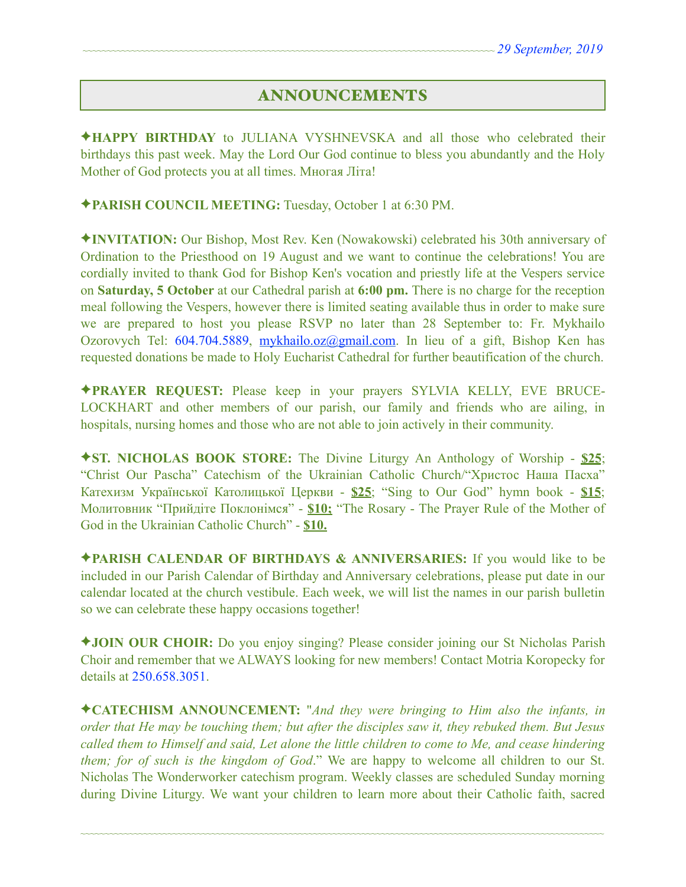## ANNOUNCEMENTS

✦**HAPPY BIRTHDAY** to JULIANA VYSHNEVSKA and all those who celebrated their birthdays this past week. May the Lord Our God continue to bless you abundantly and the Holy Mother of God protects you at all times. Многая Літа!

✦**PARISH COUNCIL MEETING:** Tuesday, October 1 at 6:30 PM.

✦**INVITATION:** Our Bishop, Most Rev. Ken (Nowakowski) celebrated his 30th anniversary of Ordination to the Priesthood on 19 August and we want to continue the celebrations! You are cordially invited to thank God for Bishop Ken's vocation and priestly life at the Vespers service on **Saturday, 5 October** at our Cathedral parish at **6:00 pm.** There is no charge for the reception meal following the Vespers, however there is limited seating available thus in order to make sure we are prepared to host you please RSVP no later than 28 September to: Fr. Mykhailo Ozorovych Tel: 604.704.5889, [mykhailo.oz@gmail.com](mailto:mykhailo.oz@gmail.com). In lieu of a gift, Bishop Ken has requested donations be made to Holy Eucharist Cathedral for further beautification of the church.

✦**PRAYER REQUEST:** Please keep in your prayers SYLVIA KELLY, EVE BRUCE-LOCKHART and other members of our parish, our family and friends who are ailing, in hospitals, nursing homes and those who are not able to join actively in their community.

✦**ST. NICHOLAS BOOK STORE:** The Divine Liturgy An Anthology of Worship - **\$25**; "Christ Our Pascha" Catechism of the Ukrainian Catholic Church/"Христос Наша Пасха" Катехизм Української Католицької Церкви - **\$25**; "Sing to Our God" hymn book - **\$15**; Молитовник "Прийдіте Поклонімся" - **\$10;** "The Rosary - The Prayer Rule of the Mother of God in the Ukrainian Catholic Church" - **\$10.** 

✦**PARISH CALENDAR OF BIRTHDAYS & ANNIVERSARIES:** If you would like to be included in our Parish Calendar of Birthday and Anniversary celebrations, please put date in our calendar located at the church vestibule. Each week, we will list the names in our parish bulletin so we can celebrate these happy occasions together!

✦**JOIN OUR CHOIR:** Do you enjoy singing? Please consider joining our St Nicholas Parish Choir and remember that we ALWAYS looking for new members! Contact Motria Koropecky for details at 250.658.3051.

✦**CATECHISM ANNOUNCEMENT:** "*And they were bringing to Him also the infants, in order that He may be touching them; but after the disciples saw it, they rebuked them. But Jesus called them to Himself and said, Let alone the little children to come to Me, and cease hindering them; for of such is the kingdom of God*." We are happy to welcome all children to our St. Nicholas The Wonderworker catechism program. Weekly classes are scheduled Sunday morning during Divine Liturgy. We want your children to learn more about their Catholic faith, sacred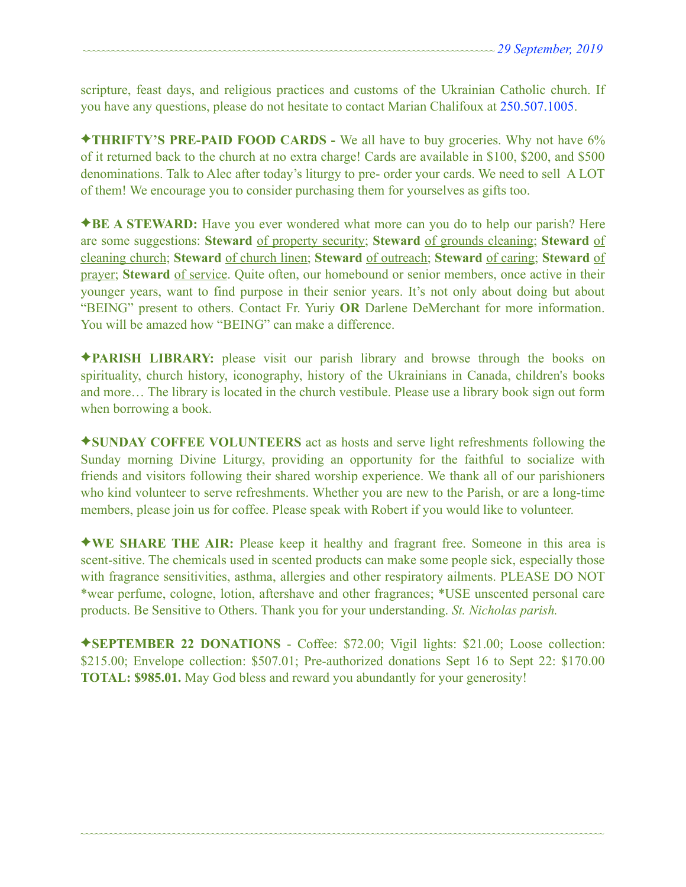scripture, feast days, and religious practices and customs of the Ukrainian Catholic church. If you have any questions, please do not hesitate to contact Marian Chalifoux at 250.507.1005.

✦**THRIFTY'S PRE-PAID FOOD CARDS -** We all have to buy groceries. Why not have 6% of it returned back to the church at no extra charge! Cards are available in \$100, \$200, and \$500 denominations. Talk to Alec after today's liturgy to pre- order your cards. We need to sell A LOT of them! We encourage you to consider purchasing them for yourselves as gifts too.

✦**BE A STEWARD:** Have you ever wondered what more can you do to help our parish? Here are some suggestions: **Steward** of property security; **Steward** of grounds cleaning; **Steward** of cleaning church; **Steward** of church linen; **Steward** of outreach; **Steward** of caring; **Steward** of prayer; **Steward** of service. Quite often, our homebound or senior members, once active in their younger years, want to find purpose in their senior years. It's not only about doing but about "BEING" present to others. Contact Fr. Yuriy **OR** Darlene DeMerchant for more information. You will be amazed how "BEING" can make a difference.

✦**PARISH LIBRARY:** please visit our parish library and browse through the books on spirituality, church history, iconography, history of the Ukrainians in Canada, children's books and more… The library is located in the church vestibule. Please use a library book sign out form when borrowing a book.

✦**SUNDAY COFFEE VOLUNTEERS** act as hosts and serve light refreshments following the Sunday morning Divine Liturgy, providing an opportunity for the faithful to socialize with friends and visitors following their shared worship experience. We thank all of our parishioners who kind volunteer to serve refreshments. Whether you are new to the Parish, or are a long-time members, please join us for coffee. Please speak with Robert if you would like to volunteer.

✦**WE SHARE THE AIR:** Please keep it healthy and fragrant free. Someone in this area is scent-sitive. The chemicals used in scented products can make some people sick, especially those with fragrance sensitivities, asthma, allergies and other respiratory ailments. PLEASE DO NOT \*wear perfume, cologne, lotion, aftershave and other fragrances; \*USE unscented personal care products. Be Sensitive to Others. Thank you for your understanding. *St. Nicholas parish.* 

✦**SEPTEMBER 22 DONATIONS** - Coffee: \$72.00; Vigil lights: \$21.00; Loose collection: \$215.00; Envelope collection: \$507.01; Pre-authorized donations Sept 16 to Sept 22: \$170.00 **TOTAL: \$985.01.** May God bless and reward you abundantly for your generosity!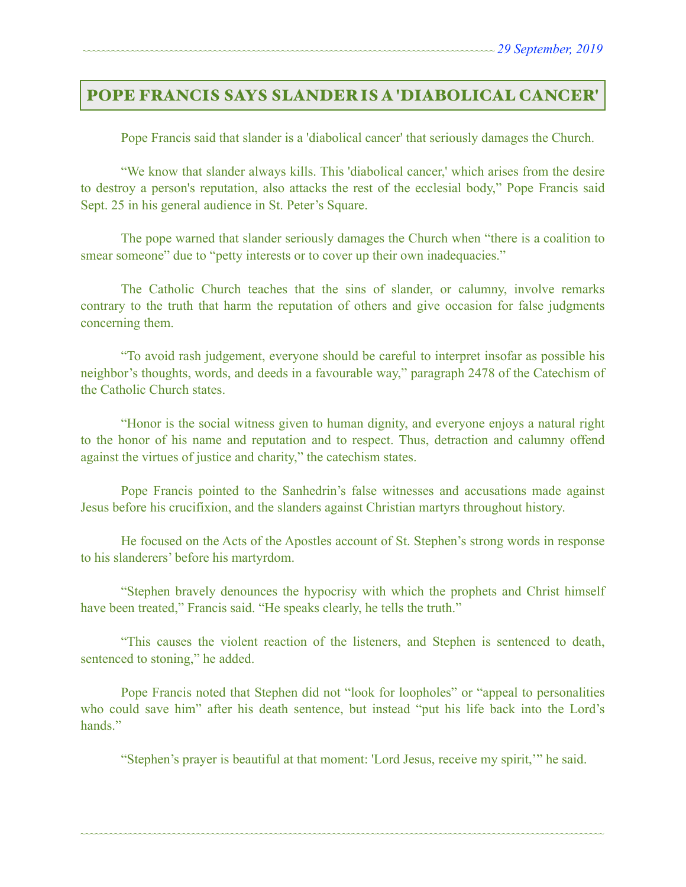## POPE FRANCIS SAYS SLANDER IS A 'DIABOLICAL CANCER'

Pope Francis said that slander is a 'diabolical cancer' that seriously damages the Church.

 "We know that slander always kills. This 'diabolical cancer,' which arises from the desire to destroy a person's reputation, also attacks the rest of the ecclesial body," Pope Francis said Sept. 25 in his general audience in St. Peter's Square.

 The pope warned that slander seriously damages the Church when "there is a coalition to smear someone" due to "petty interests or to cover up their own inadequacies."

 The Catholic Church teaches that the sins of slander, or calumny, involve remarks contrary to the truth that harm the reputation of others and give occasion for false judgments concerning them.

 "To avoid rash judgement, everyone should be careful to interpret insofar as possible his neighbor's thoughts, words, and deeds in a favourable way," paragraph 2478 of the Catechism of the Catholic Church states.

 "Honor is the social witness given to human dignity, and everyone enjoys a natural right to the honor of his name and reputation and to respect. Thus, detraction and calumny offend against the virtues of justice and charity," the catechism states.

 Pope Francis pointed to the Sanhedrin's false witnesses and accusations made against Jesus before his crucifixion, and the slanders against Christian martyrs throughout history.

 He focused on the Acts of the Apostles account of St. Stephen's strong words in response to his slanderers' before his martyrdom.

 "Stephen bravely denounces the hypocrisy with which the prophets and Christ himself have been treated," Francis said. "He speaks clearly, he tells the truth."

 "This causes the violent reaction of the listeners, and Stephen is sentenced to death, sentenced to stoning," he added.

 Pope Francis noted that Stephen did not "look for loopholes" or "appeal to personalities who could save him" after his death sentence, but instead "put his life back into the Lord's hands<sup>"</sup>

~~~~~~~~~~~~~~~~~~~~~~~~~~~~~~~~~~~~~~~~~~~~~~~~~~~~~~~~~~~~~~~~~~~~~~~~~~~~~~~~~~~~~~~~~~~~~~~~~~~~~~~~~~~~

"Stephen's prayer is beautiful at that moment: 'Lord Jesus, receive my spirit,'" he said.